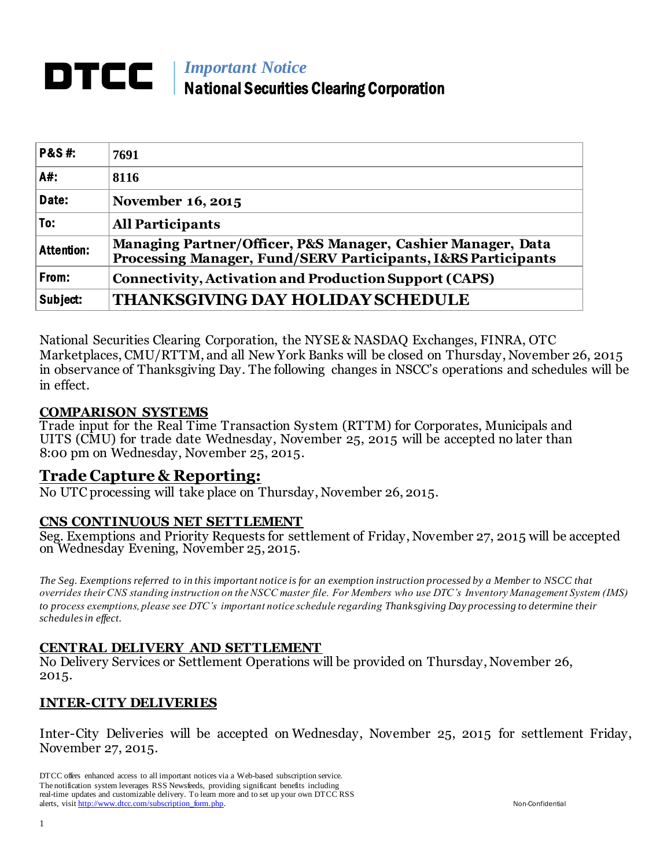# *Important Notice* National Securities Clearing Corporation

| <b>P&amp;S#:</b>  | 7691                                                                                                                          |
|-------------------|-------------------------------------------------------------------------------------------------------------------------------|
| A#:               | 8116                                                                                                                          |
| Date:             | November 16, 2015                                                                                                             |
| To:               | <b>All Participants</b>                                                                                                       |
| <b>Attention:</b> | Managing Partner/Officer, P&S Manager, Cashier Manager, Data<br>Processing Manager, Fund/SERV Participants, I&RS Participants |
| From:             | <b>Connectivity, Activation and Production Support (CAPS)</b>                                                                 |
| Subject:          | <b>THANKSGIVING DAY HOLIDAY SCHEDULE</b>                                                                                      |

National Securities Clearing Corporation, the NYSE & NASDAQ Exchanges, FINRA, OTC Marketplaces, CMU/RTTM, and all New York Banks will be closed on Thursday, November 26, 2015 in observance of Thanksgiving Day. The following changes in NSCC's operations and schedules will be in effect.

#### **COMPARISON SYSTEMS**

Trade input for the Real Time Transaction System (RTTM) for Corporates, Municipals and UITS (CMU) for trade date Wednesday, November 25, 2015 will be accepted no later than 8:00 pm on Wednesday, November 25, 2015.

## **Trade Capture & Reporting:**

No UTC processing will take place on Thursday, November 26, 2015.

#### **CNS CONTINUOUS NET SETTLEMENT**

Seg. Exemptions and Priority Requests for settlement of Friday, November 27, 2015 will be accepted on Wednesday Evening, November 25, 2015.

*The Seg. Exemptions referred to in this important notice is for an exemption instruction processed by a Member to NSCC that overrides their CNS standing instruction on the NSCC master file. For Members who use DTC's Inventory Management System (IMS) to process exemptions, please see DTC's important notice schedule regarding Thanksgiving Day processing to determine their schedules in effect.*

#### **CENTRAL DELIVERY AND SETTLEMENT**

No Delivery Services or Settlement Operations will be provided on Thursday, November 26, 2015.

## **INTER-CITY DELIVERIES**

Inter-City Deliveries will be accepted on Wednesday, November 25, 2015 for settlement Friday, November 27, 2015.

DTCC offers enhanced access to all important notices via a Web-based subscription service. The notification system leverages RSS Newsfeeds, providing significant benefits including real-time updates and customizable delivery. To learn more and to set up your own DTCC RSS alerts, visi[t http://www.dtcc.com/subscription\\_form.php.](http://www.dtcc.com/subscription_form.php) Non-Confidential